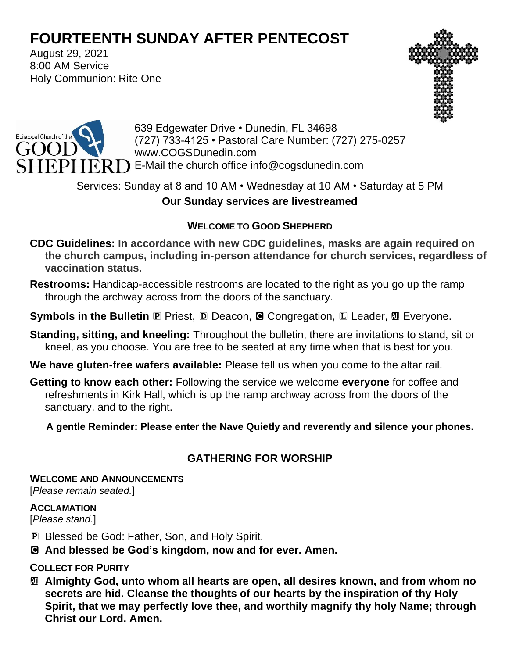# **FOURTEENTH SUNDAY AFTER PENTECOST**

August 29, 2021 8:00 AM Service Holy Communion: Rite One





639 Edgewater Drive • Dunedin, FL 34698 (727) 733-4125 • Pastoral Care Number: (727) 275-0257 www.COGSDunedin.com E-Mail the church office info@cogsdunedin.com

# Services: Sunday at 8 and 10 AM • Wednesday at 10 AM • Saturday at 5 PM **Our Sunday services are livestreamed**

## **WELCOME TO GOOD SHEPHERD**

- **CDC Guidelines: In accordance with new CDC guidelines, masks are again required on the church campus, including in-person attendance for church services, regardless of vaccination status.**
- **Restrooms:** Handicap-accessible restrooms are located to the right as you go up the ramp through the archway across from the doors of the sanctuary.
- **Symbols in the Bulletin P** Priest, **D** Deacon, **G** Congregation, **L** Leader, **M** Everyone.
- **Standing, sitting, and kneeling:** Throughout the bulletin, there are invitations to stand, sit or kneel, as you choose. You are free to be seated at any time when that is best for you.
- **We have gluten-free wafers available:** Please tell us when you come to the altar rail.
- **Getting to know each other:** Following the service we welcome **everyone** for coffee and refreshments in Kirk Hall, which is up the ramp archway across from the doors of the sanctuary, and to the right.

**A gentle Reminder: Please enter the Nave Quietly and reverently and silence your phones.**

## **GATHERING FOR WORSHIP**

**WELCOME AND ANNOUNCEMENTS**

[*Please remain seated.*]

#### **ACCLAMATION**

[*Please stand.*]

- P Blessed be God: Father, Son, and Holy Spirit.
- C **And blessed be God's kingdom, now and for ever. Amen.**

### **COLLECT FOR PURITY**

a **Almighty God, unto whom all hearts are open, all desires known, and from whom no secrets are hid. Cleanse the thoughts of our hearts by the inspiration of thy Holy Spirit, that we may perfectly love thee, and worthily magnify thy holy Name; through Christ our Lord. Amen.**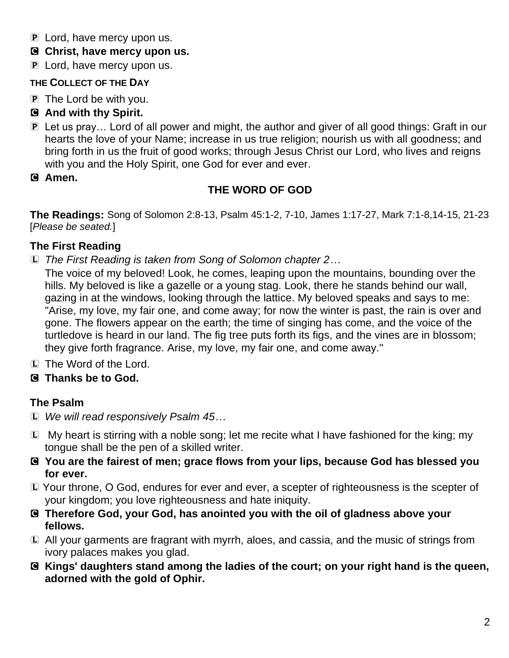- P Lord, have mercy upon us.
- C **Christ, have mercy upon us.**
- **P** Lord, have mercy upon us.

## **THE COLLECT OF THE DAY**

P The Lord be with you.

# C **And with thy Spirit.**

- P Let us pray… Lord of all power and might, the author and giver of all good things: Graft in our hearts the love of your Name; increase in us true religion; nourish us with all goodness; and bring forth in us the fruit of good works; through Jesus Christ our Lord, who lives and reigns with you and the Holy Spirit, one God for ever and ever.
- C **Amen.**

# **THE WORD OF GOD**

**The Readings:** Song of Solomon 2:8-13, Psalm 45:1-2, 7-10, James 1:17-27, Mark 7:1-8,14-15, 21-23 [*Please be seated.*]

# **The First Reading**

L *The First Reading is taken from Song of Solomon chapter 2…*

The voice of my beloved! Look, he comes, leaping upon the mountains, bounding over the hills. My beloved is like a gazelle or a young stag. Look, there he stands behind our wall, gazing in at the windows, looking through the lattice. My beloved speaks and says to me: "Arise, my love, my fair one, and come away; for now the winter is past, the rain is over and gone. The flowers appear on the earth; the time of singing has come, and the voice of the turtledove is heard in our land. The fig tree puts forth its figs, and the vines are in blossom; they give forth fragrance. Arise, my love, my fair one, and come away."

L The Word of the Lord.

# C **Thanks be to God.**

# **The Psalm**

- L *We will read responsively Psalm 45…*
- $\mathbb D$  My heart is stirring with a noble song; let me recite what I have fashioned for the king; my tongue shall be the pen of a skilled writer.
- C **You are the fairest of men; grace flows from your lips, because God has blessed you for ever.**
- L Your throne, O God, endures for ever and ever, a scepter of righteousness is the scepter of your kingdom; you love righteousness and hate iniquity.
- C **Therefore God, your God, has anointed you with the oil of gladness above your fellows.**
- L All your garments are fragrant with myrrh, aloes, and cassia, and the music of strings from ivory palaces makes you glad.
- C **Kings' daughters stand among the ladies of the court; on your right hand is the queen, adorned with the gold of Ophir.**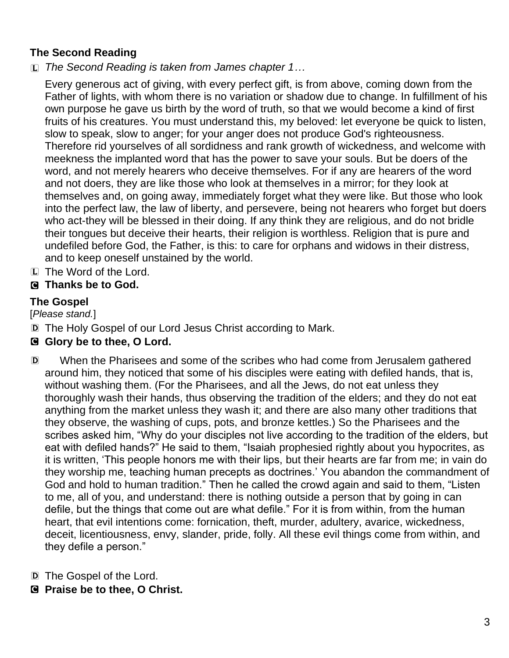## **The Second Reading**

L *The Second Reading is taken from James chapter 1…*

Every generous act of giving, with every perfect gift, is from above, coming down from the Father of lights, with whom there is no variation or shadow due to change. In fulfillment of his own purpose he gave us birth by the word of truth, so that we would become a kind of first fruits of his creatures. You must understand this, my beloved: let everyone be quick to listen, slow to speak, slow to anger; for your anger does not produce God's righteousness. Therefore rid yourselves of all sordidness and rank growth of wickedness, and welcome with meekness the implanted word that has the power to save your souls. But be doers of the word, and not merely hearers who deceive themselves. For if any are hearers of the word and not doers, they are like those who look at themselves in a mirror; for they look at themselves and, on going away, immediately forget what they were like. But those who look into the perfect law, the law of liberty, and persevere, being not hearers who forget but doers who act-they will be blessed in their doing. If any think they are religious, and do not bridle their tongues but deceive their hearts, their religion is worthless. Religion that is pure and undefiled before God, the Father, is this: to care for orphans and widows in their distress, and to keep oneself unstained by the world.

L The Word of the Lord.

## C **Thanks be to God.**

### **The Gospel**

[*Please stand.*]

D The Holy Gospel of our Lord Jesus Christ according to Mark.

### C **Glory be to thee, O Lord.**

- D When the Pharisees and some of the scribes who had come from Jerusalem gathered around him, they noticed that some of his disciples were eating with defiled hands, that is, without washing them. (For the Pharisees, and all the Jews, do not eat unless they thoroughly wash their hands, thus observing the tradition of the elders; and they do not eat anything from the market unless they wash it; and there are also many other traditions that they observe, the washing of cups, pots, and bronze kettles.) So the Pharisees and the scribes asked him, "Why do your disciples not live according to the tradition of the elders, but eat with defiled hands?" He said to them, "Isaiah prophesied rightly about you hypocrites, as it is written, 'This people honors me with their lips, but their hearts are far from me; in vain do they worship me, teaching human precepts as doctrines.' You abandon the commandment of God and hold to human tradition." Then he called the crowd again and said to them, "Listen to me, all of you, and understand: there is nothing outside a person that by going in can defile, but the things that come out are what defile." For it is from within, from the human heart, that evil intentions come: fornication, theft, murder, adultery, avarice, wickedness, deceit, licentiousness, envy, slander, pride, folly. All these evil things come from within, and they defile a person."
- D The Gospel of the Lord.
- C **Praise be to thee, O Christ.**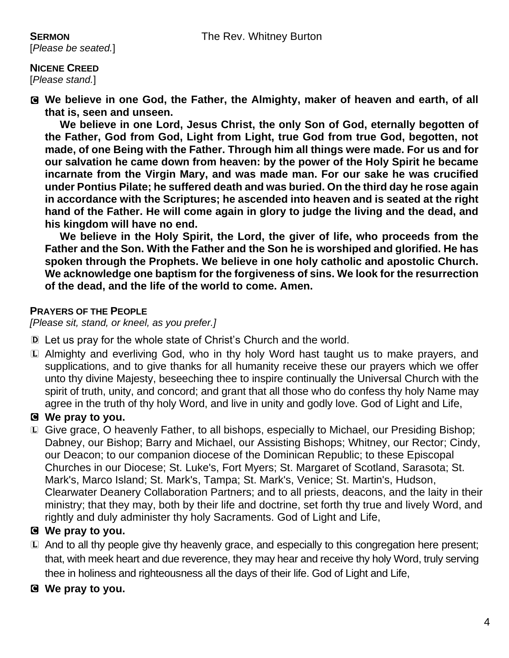# [*Please be seated.*]

**NICENE CREED**  [*Please stand.*]

C **We believe in one God, the Father, the Almighty, maker of heaven and earth, of all that is, seen and unseen.** 

**We believe in one Lord, Jesus Christ, the only Son of God, eternally begotten of the Father, God from God, Light from Light, true God from true God, begotten, not made, of one Being with the Father. Through him all things were made. For us and for our salvation he came down from heaven: by the power of the Holy Spirit he became incarnate from the Virgin Mary, and was made man. For our sake he was crucified under Pontius Pilate; he suffered death and was buried. On the third day he rose again in accordance with the Scriptures; he ascended into heaven and is seated at the right hand of the Father. He will come again in glory to judge the living and the dead, and his kingdom will have no end.**

**We believe in the Holy Spirit, the Lord, the giver of life, who proceeds from the Father and the Son. With the Father and the Son he is worshiped and glorified. He has spoken through the Prophets. We believe in one holy catholic and apostolic Church. We acknowledge one baptism for the forgiveness of sins. We look for the resurrection of the dead, and the life of the world to come. Amen.**

#### **PRAYERS OF THE PEOPLE**

*[Please sit, stand, or kneel, as you prefer.]*

- D Let us pray for the whole state of Christ's Church and the world.
- L Almighty and everliving God, who in thy holy Word hast taught us to make prayers, and supplications, and to give thanks for all humanity receive these our prayers which we offer unto thy divine Majesty, beseeching thee to inspire continually the Universal Church with the spirit of truth, unity, and concord; and grant that all those who do confess thy holy Name may agree in the truth of thy holy Word, and live in unity and godly love. God of Light and Life,

#### C **We pray to you.**

L Give grace, O heavenly Father, to all bishops, especially to Michael, our Presiding Bishop; Dabney, our Bishop; Barry and Michael, our Assisting Bishops; Whitney, our Rector; Cindy, our Deacon; to our companion diocese of the Dominican Republic; to these Episcopal Churches in our Diocese; St. Luke's, Fort Myers; St. Margaret of Scotland, Sarasota; St. Mark's, Marco Island; St. Mark's, Tampa; St. Mark's, Venice; St. Martin's, Hudson, Clearwater Deanery Collaboration Partners; and to all priests, deacons, and the laity in their ministry; that they may, both by their life and doctrine, set forth thy true and lively Word, and rightly and duly administer thy holy Sacraments. God of Light and Life,

### C **We pray to you.**

L And to all thy people give thy heavenly grace, and especially to this congregation here present; that, with meek heart and due reverence, they may hear and receive thy holy Word, truly serving thee in holiness and righteousness all the days of their life. God of Light and Life,

#### C **We pray to you.**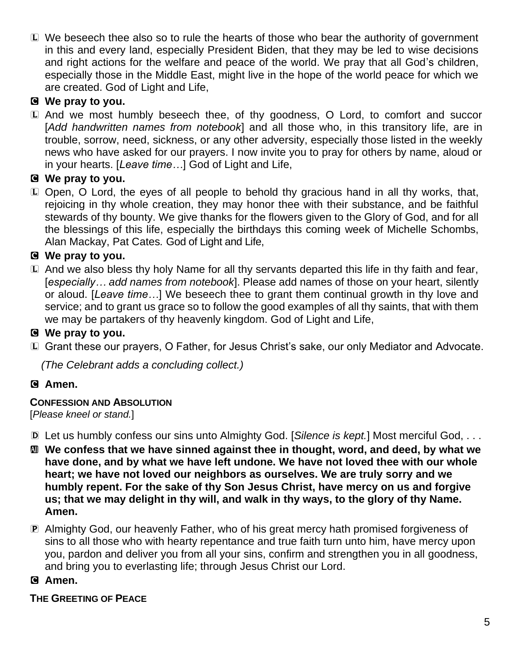L We beseech thee also so to rule the hearts of those who bear the authority of government in this and every land, especially President Biden, that they may be led to wise decisions and right actions for the welfare and peace of the world. We pray that all God's children, especially those in the Middle East, might live in the hope of the world peace for which we are created. God of Light and Life,

## C **We pray to you.**

L And we most humbly beseech thee, of thy goodness, O Lord, to comfort and succor [*Add handwritten names from notebook*] and all those who, in this transitory life, are in trouble, sorrow, need, sickness, or any other adversity, especially those listed in the weekly news who have asked for our prayers. I now invite you to pray for others by name, aloud or in your hearts. [*Leave time…*] God of Light and Life,

## C **We pray to you.**

L Open, O Lord, the eyes of all people to behold thy gracious hand in all thy works, that, rejoicing in thy whole creation, they may honor thee with their substance, and be faithful stewards of thy bounty. We give thanks for the flowers given to the Glory of God, and for all the blessings of this life, especially the birthdays this coming week of Michelle Schombs, Alan Mackay, Pat Cates*.* God of Light and Life,

## C **We pray to you.**

L And we also bless thy holy Name for all thy servants departed this life in thy faith and fear, [*especially… add names from notebook*]. Please add names of those on your heart, silently or aloud. [*Leave time…*] We beseech thee to grant them continual growth in thy love and service; and to grant us grace so to follow the good examples of all thy saints, that with them we may be partakers of thy heavenly kingdom. God of Light and Life,

## C **We pray to you.**

L Grant these our prayers, O Father, for Jesus Christ's sake, our only Mediator and Advocate.

*(The Celebrant adds a concluding collect.)*

### C **Amen.**

#### **CONFESSION AND ABSOLUTION**

[*Please kneel or stand.*]

- D Let us humbly confess our sins unto Almighty God. [*Silence is kept.*] Most merciful God, . . .
- a **We confess that we have sinned against thee in thought, word, and deed, by what we have done, and by what we have left undone. We have not loved thee with our whole heart; we have not loved our neighbors as ourselves. We are truly sorry and we humbly repent. For the sake of thy Son Jesus Christ, have mercy on us and forgive us; that we may delight in thy will, and walk in thy ways, to the glory of thy Name. Amen.**
- P Almighty God, our heavenly Father, who of his great mercy hath promised forgiveness of sins to all those who with hearty repentance and true faith turn unto him, have mercy upon you, pardon and deliver you from all your sins, confirm and strengthen you in all goodness, and bring you to everlasting life; through Jesus Christ our Lord.

### C **Amen.**

#### **THE GREETING OF PEACE**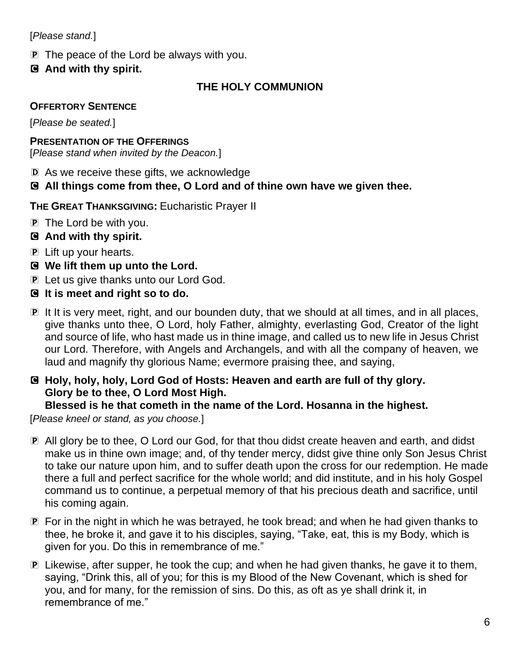[*Please stand.*]

- P The peace of the Lord be always with you.
- C **And with thy spirit.**

# **THE HOLY COMMUNION**

## **OFFERTORY SENTENCE**

[*Please be seated.*]

### **PRESENTATION OF THE OFFERINGS**

[*Please stand when invited by the Deacon.*]

- D As we receive these gifts, we acknowledge
- C **All things come from thee, O Lord and of thine own have we given thee.**

**THE GREAT THANKSGIVING:** Eucharistic Prayer II

- P The Lord be with you.
- C **And with thy spirit.**
- P Lift up your hearts.
- C **We lift them up unto the Lord.**
- P Let us give thanks unto our Lord God.
- C **It is meet and right so to do.**
- P It It is very meet, right, and our bounden duty, that we should at all times, and in all places, give thanks unto thee, O Lord, holy Father, almighty, everlasting God, Creator of the light and source of life, who hast made us in thine image, and called us to new life in Jesus Christ our Lord. Therefore, with Angels and Archangels, and with all the company of heaven, we laud and magnify thy glorious Name; evermore praising thee, and saying,
- C **Holy, holy, holy, Lord God of Hosts: Heaven and earth are full of thy glory. Glory be to thee, O Lord Most High.**

### **Blessed is he that cometh in the name of the Lord. Hosanna in the highest.**

[*Please kneel or stand, as you choose.*]

- P All glory be to thee, O Lord our God, for that thou didst create heaven and earth, and didst make us in thine own image; and, of thy tender mercy, didst give thine only Son Jesus Christ to take our nature upon him, and to suffer death upon the cross for our redemption. He made there a full and perfect sacrifice for the whole world; and did institute, and in his holy Gospel command us to continue, a perpetual memory of that his precious death and sacrifice, until his coming again.
- P For in the night in which he was betrayed, he took bread; and when he had given thanks to thee, he broke it, and gave it to his disciples, saying, "Take, eat, this is my Body, which is given for you. Do this in remembrance of me."
- P Likewise, after supper, he took the cup; and when he had given thanks, he gave it to them, saying, "Drink this, all of you; for this is my Blood of the New Covenant, which is shed for you, and for many, for the remission of sins. Do this, as oft as ye shall drink it, in remembrance of me."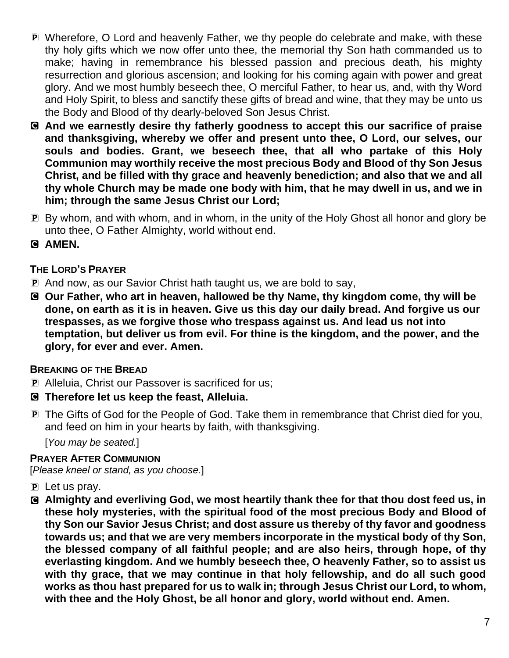- P Wherefore, O Lord and heavenly Father, we thy people do celebrate and make, with these thy holy gifts which we now offer unto thee, the memorial thy Son hath commanded us to make; having in remembrance his blessed passion and precious death, his mighty resurrection and glorious ascension; and looking for his coming again with power and great glory. And we most humbly beseech thee, O merciful Father, to hear us, and, with thy Word and Holy Spirit, to bless and sanctify these gifts of bread and wine, that they may be unto us the Body and Blood of thy dearly-beloved Son Jesus Christ.
- C **And we earnestly desire thy fatherly goodness to accept this our sacrifice of praise and thanksgiving, whereby we offer and present unto thee, O Lord, our selves, our souls and bodies. Grant, we beseech thee, that all who partake of this Holy Communion may worthily receive the most precious Body and Blood of thy Son Jesus Christ, and be filled with thy grace and heavenly benediction; and also that we and all thy whole Church may be made one body with him, that he may dwell in us, and we in him; through the same Jesus Christ our Lord;**
- P By whom, and with whom, and in whom, in the unity of the Holy Ghost all honor and glory be unto thee, O Father Almighty, world without end.
- C **AMEN.**

### **THE LORD'S PRAYER**

- P And now, as our Savior Christ hath taught us, we are bold to say,
- C **Our Father, who art in heaven, hallowed be thy Name, thy kingdom come, thy will be done, on earth as it is in heaven. Give us this day our daily bread. And forgive us our trespasses, as we forgive those who trespass against us. And lead us not into temptation, but deliver us from evil. For thine is the kingdom, and the power, and the glory, for ever and ever. Amen.**

#### **BREAKING OF THE BREAD**

- P Alleluia, Christ our Passover is sacrificed for us;
- C **Therefore let us keep the feast, Alleluia.**
- P The Gifts of God for the People of God. Take them in remembrance that Christ died for you, and feed on him in your hearts by faith, with thanksgiving.

[*You may be seated.*]

#### **PRAYER AFTER COMMUNION**

[*Please kneel or stand, as you choose.*]

- $\mathbf{P}$  Let us pray.
- C **Almighty and everliving God, we most heartily thank thee for that thou dost feed us, in these holy mysteries, with the spiritual food of the most precious Body and Blood of thy Son our Savior Jesus Christ; and dost assure us thereby of thy favor and goodness towards us; and that we are very members incorporate in the mystical body of thy Son, the blessed company of all faithful people; and are also heirs, through hope, of thy everlasting kingdom. And we humbly beseech thee, O heavenly Father, so to assist us with thy grace, that we may continue in that holy fellowship, and do all such good works as thou hast prepared for us to walk in; through Jesus Christ our Lord, to whom, with thee and the Holy Ghost, be all honor and glory, world without end. Amen.**